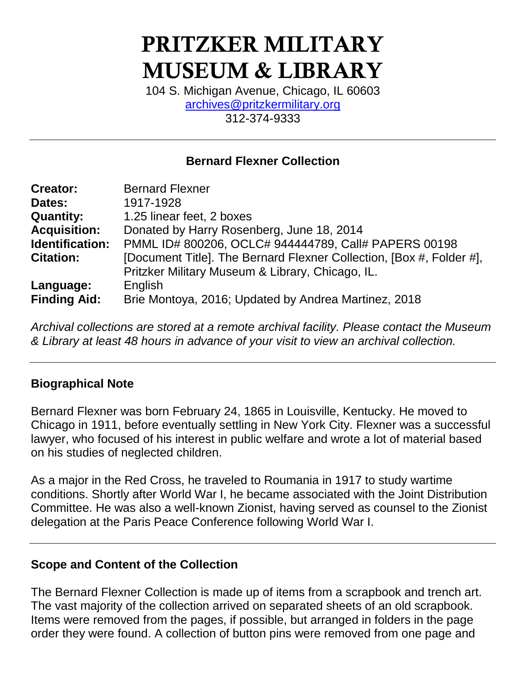# **PRITZKER MILITARY MUSEUM & LIBRARY**

104 S. Michigan Avenue, Chicago, IL 60603 [archives@pritzkermilitary.org](mailto:archives@pritzkermilitary.org) 312-374-9333

#### **Bernard Flexner Collection**

| <b>Creator:</b>        | <b>Bernard Flexner</b>                                               |
|------------------------|----------------------------------------------------------------------|
| Dates:                 | 1917-1928                                                            |
| <b>Quantity:</b>       | 1.25 linear feet, 2 boxes                                            |
| <b>Acquisition:</b>    | Donated by Harry Rosenberg, June 18, 2014                            |
| <b>Identification:</b> | PMML ID# 800206, OCLC# 944444789, Call# PAPERS 00198                 |
| <b>Citation:</b>       | [Document Title]. The Bernard Flexner Collection, [Box #, Folder #], |
|                        | Pritzker Military Museum & Library, Chicago, IL.                     |
| Language:              | English                                                              |
| <b>Finding Aid:</b>    | Brie Montoya, 2016; Updated by Andrea Martinez, 2018                 |

*Archival collections are stored at a remote archival facility. Please contact the Museum & Library at least 48 hours in advance of your visit to view an archival collection.*

#### **Biographical Note**

Bernard Flexner was born February 24, 1865 in Louisville, Kentucky. He moved to Chicago in 1911, before eventually settling in New York City. Flexner was a successful lawyer, who focused of his interest in public welfare and wrote a lot of material based on his studies of neglected children.

As a major in the Red Cross, he traveled to Roumania in 1917 to study wartime conditions. Shortly after World War I, he became associated with the Joint Distribution Committee. He was also a well-known Zionist, having served as counsel to the Zionist delegation at the Paris Peace Conference following World War I.

#### **Scope and Content of the Collection**

The Bernard Flexner Collection is made up of items from a scrapbook and trench art. The vast majority of the collection arrived on separated sheets of an old scrapbook. Items were removed from the pages, if possible, but arranged in folders in the page order they were found. A collection of button pins were removed from one page and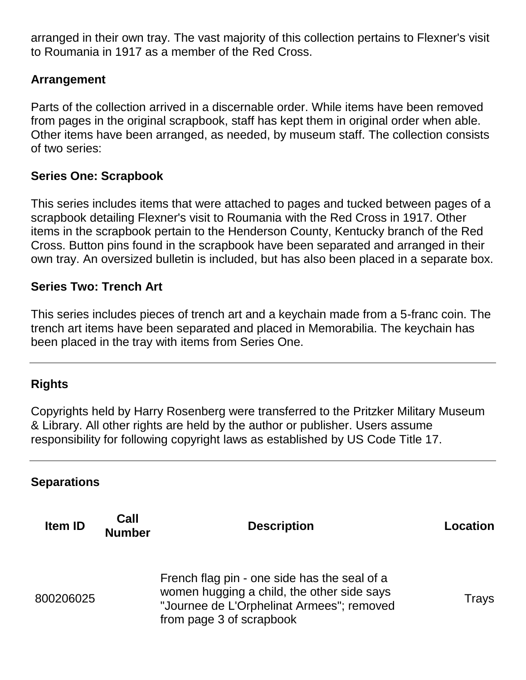arranged in their own tray. The vast majority of this collection pertains to Flexner's visit to Roumania in 1917 as a member of the Red Cross.

#### **Arrangement**

Parts of the collection arrived in a discernable order. While items have been removed from pages in the original scrapbook, staff has kept them in original order when able. Other items have been arranged, as needed, by museum staff. The collection consists of two series:

#### **Series One: Scrapbook**

This series includes items that were attached to pages and tucked between pages of a scrapbook detailing Flexner's visit to Roumania with the Red Cross in 1917. Other items in the scrapbook pertain to the Henderson County, Kentucky branch of the Red Cross. Button pins found in the scrapbook have been separated and arranged in their own tray. An oversized bulletin is included, but has also been placed in a separate box.

#### **Series Two: Trench Art**

This series includes pieces of trench art and a keychain made from a 5-franc coin. The trench art items have been separated and placed in Memorabilia. The keychain has been placed in the tray with items from Series One.

#### **Rights**

Copyrights held by Harry Rosenberg were transferred to the Pritzker Military Museum & Library. All other rights are held by the author or publisher. Users assume responsibility for following copyright laws as established by US Code Title 17.

#### **Separations**

| <b>Item ID</b> | Call<br><b>Number</b> | <b>Description</b>                                                                                                                                                  | Location |
|----------------|-----------------------|---------------------------------------------------------------------------------------------------------------------------------------------------------------------|----------|
| 800206025      |                       | French flag pin - one side has the seal of a<br>women hugging a child, the other side says<br>"Journee de L'Orphelinat Armees"; removed<br>from page 3 of scrapbook | Trays    |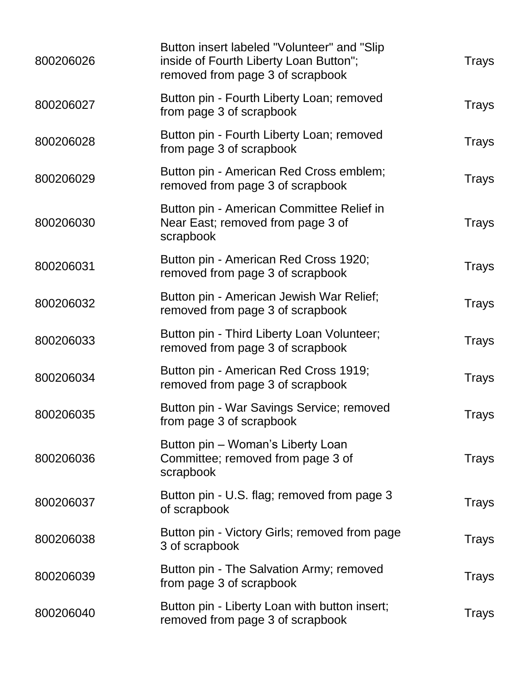| 800206026 | Button insert labeled "Volunteer" and "Slip<br>inside of Fourth Liberty Loan Button";<br>removed from page 3 of scrapbook | Trays        |
|-----------|---------------------------------------------------------------------------------------------------------------------------|--------------|
| 800206027 | Button pin - Fourth Liberty Loan; removed<br>from page 3 of scrapbook                                                     | <b>Trays</b> |
| 800206028 | Button pin - Fourth Liberty Loan; removed<br>from page 3 of scrapbook                                                     | <b>Trays</b> |
| 800206029 | Button pin - American Red Cross emblem;<br>removed from page 3 of scrapbook                                               | <b>Trays</b> |
| 800206030 | Button pin - American Committee Relief in<br>Near East; removed from page 3 of<br>scrapbook                               | Trays        |
| 800206031 | Button pin - American Red Cross 1920;<br>removed from page 3 of scrapbook                                                 | <b>Trays</b> |
| 800206032 | Button pin - American Jewish War Relief;<br>removed from page 3 of scrapbook                                              | <b>Trays</b> |
| 800206033 | Button pin - Third Liberty Loan Volunteer;<br>removed from page 3 of scrapbook                                            | <b>Trays</b> |
| 800206034 | Button pin - American Red Cross 1919;<br>removed from page 3 of scrapbook                                                 | <b>Trays</b> |
| 800206035 | Button pin - War Savings Service; removed<br>from page 3 of scrapbook                                                     | <b>Trays</b> |
| 800206036 | Button pin - Woman's Liberty Loan<br>Committee; removed from page 3 of<br>scrapbook                                       | Trays        |
| 800206037 | Button pin - U.S. flag; removed from page 3<br>of scrapbook                                                               | <b>Trays</b> |
| 800206038 | Button pin - Victory Girls; removed from page<br>3 of scrapbook                                                           | Trays        |
| 800206039 | Button pin - The Salvation Army; removed<br>from page 3 of scrapbook                                                      | <b>Trays</b> |
| 800206040 | Button pin - Liberty Loan with button insert;<br>removed from page 3 of scrapbook                                         | <b>Trays</b> |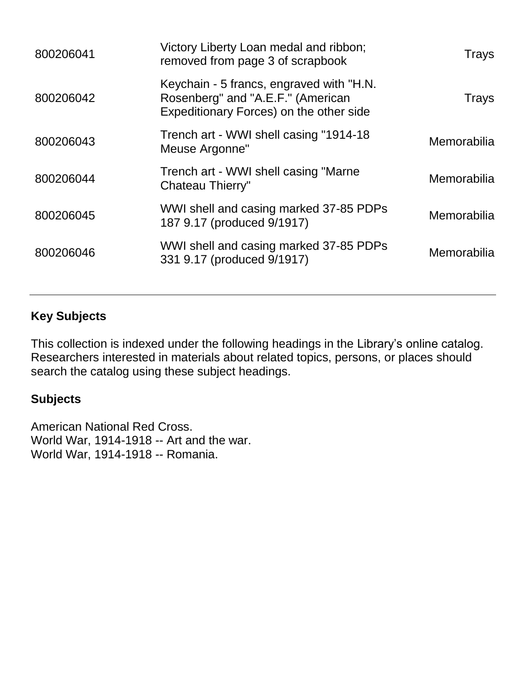| 800206041 | Victory Liberty Loan medal and ribbon;<br>removed from page 3 of scrapbook                                               | Trays              |
|-----------|--------------------------------------------------------------------------------------------------------------------------|--------------------|
| 800206042 | Keychain - 5 francs, engraved with "H.N.<br>Rosenberg" and "A.E.F." (American<br>Expeditionary Forces) on the other side | Trays              |
| 800206043 | Trench art - WWI shell casing "1914-18<br>Meuse Argonne"                                                                 | <b>Memorabilia</b> |
| 800206044 | Trench art - WWI shell casing "Marne<br>Chateau Thierry"                                                                 | <b>Memorabilia</b> |
| 800206045 | WWI shell and casing marked 37-85 PDPs<br>187 9.17 (produced 9/1917)                                                     | Memorabilia        |
| 800206046 | WWI shell and casing marked 37-85 PDPs<br>331 9.17 (produced 9/1917)                                                     | <b>Memorabilia</b> |
|           |                                                                                                                          |                    |

### **Key Subjects**

This collection is indexed under the following headings in the Library's online catalog. Researchers interested in materials about related topics, persons, or places should search the catalog using these subject headings.

#### **Subjects**

American National Red Cross. World War, 1914-1918 -- Art and the war. World War, 1914-1918 -- Romania.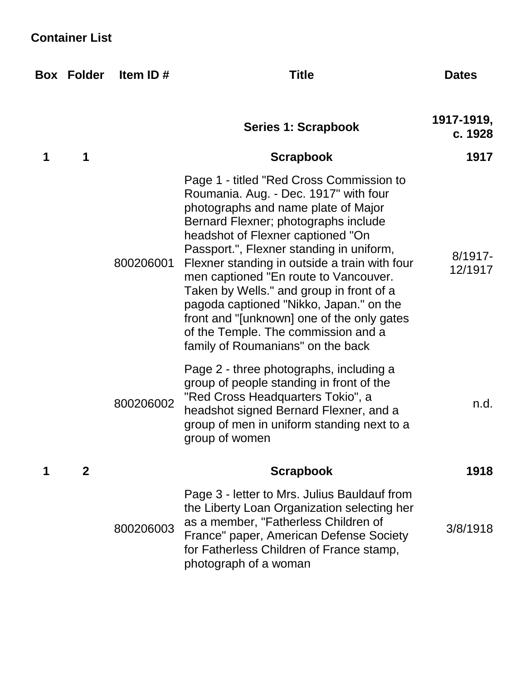## **Container List**

|   | <b>Box Folder</b> | Item ID#  | <b>Title</b>                                                                                                                                                                                                                                                                                                                                                                                                                                                                                                                                                 | <b>Dates</b>          |
|---|-------------------|-----------|--------------------------------------------------------------------------------------------------------------------------------------------------------------------------------------------------------------------------------------------------------------------------------------------------------------------------------------------------------------------------------------------------------------------------------------------------------------------------------------------------------------------------------------------------------------|-----------------------|
|   |                   |           | Series 1: Scrapbook                                                                                                                                                                                                                                                                                                                                                                                                                                                                                                                                          | 1917-1919,<br>c. 1928 |
| 1 | 1                 |           | <b>Scrapbook</b>                                                                                                                                                                                                                                                                                                                                                                                                                                                                                                                                             | 1917                  |
|   |                   | 800206001 | Page 1 - titled "Red Cross Commission to<br>Roumania. Aug. - Dec. 1917" with four<br>photographs and name plate of Major<br>Bernard Flexner; photographs include<br>headshot of Flexner captioned "On<br>Passport.", Flexner standing in uniform,<br>Flexner standing in outside a train with four<br>men captioned "En route to Vancouver.<br>Taken by Wells." and group in front of a<br>pagoda captioned "Nikko, Japan." on the<br>front and "[unknown] one of the only gates<br>of the Temple. The commission and a<br>family of Roumanians" on the back | $8/1917 -$<br>12/1917 |
|   |                   | 800206002 | Page 2 - three photographs, including a<br>group of people standing in front of the<br>"Red Cross Headquarters Tokio", a<br>headshot signed Bernard Flexner, and a<br>group of men in uniform standing next to a<br>group of women                                                                                                                                                                                                                                                                                                                           | n.d.                  |
|   | $\mathbf 2$       |           | <b>Scrapbook</b>                                                                                                                                                                                                                                                                                                                                                                                                                                                                                                                                             | 1918                  |
|   |                   | 800206003 | Page 3 - letter to Mrs. Julius Bauldauf from<br>the Liberty Loan Organization selecting her<br>as a member, "Fatherless Children of<br>France" paper, American Defense Society<br>for Fatherless Children of France stamp,<br>photograph of a woman                                                                                                                                                                                                                                                                                                          | 3/8/1918              |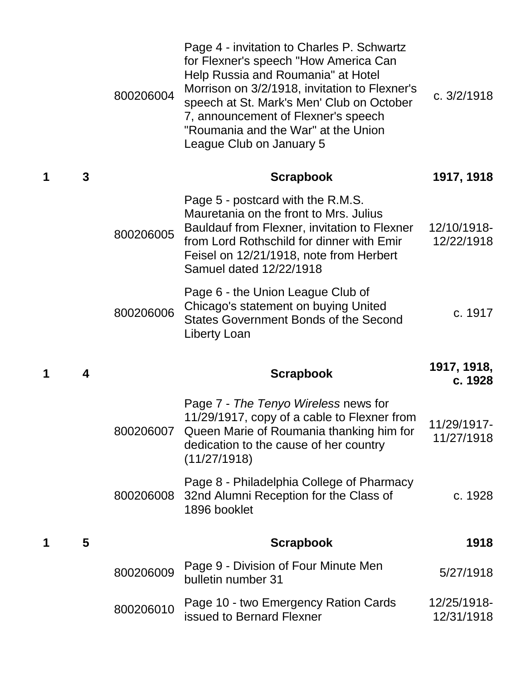|   |   | 800206004 | Page 4 - invitation to Charles P. Schwartz<br>for Flexner's speech "How America Can<br>Help Russia and Roumania" at Hotel<br>Morrison on 3/2/1918, invitation to Flexner's<br>speech at St. Mark's Men' Club on October<br>7, announcement of Flexner's speech<br>"Roumania and the War" at the Union<br>League Club on January 5 | c. $3/2/1918$             |
|---|---|-----------|-----------------------------------------------------------------------------------------------------------------------------------------------------------------------------------------------------------------------------------------------------------------------------------------------------------------------------------|---------------------------|
| 1 | 3 |           | <b>Scrapbook</b>                                                                                                                                                                                                                                                                                                                  | 1917, 1918                |
|   |   | 800206005 | Page 5 - postcard with the R.M.S.<br>Mauretania on the front to Mrs. Julius<br>Bauldauf from Flexner, invitation to Flexner<br>from Lord Rothschild for dinner with Emir<br>Feisel on 12/21/1918, note from Herbert<br>Samuel dated 12/22/1918                                                                                    | 12/10/1918-<br>12/22/1918 |
|   |   | 800206006 | Page 6 - the Union League Club of<br>Chicago's statement on buying United<br><b>States Government Bonds of the Second</b><br>Liberty Loan                                                                                                                                                                                         | c. 1917                   |
| 1 | 4 |           |                                                                                                                                                                                                                                                                                                                                   | 1917, 1918,               |
|   |   |           | <b>Scrapbook</b>                                                                                                                                                                                                                                                                                                                  | c. 1928                   |
|   |   |           | Page 7 - The Tenyo Wireless news for<br>11/29/1917, copy of a cable to Flexner from<br>800206007 Queen Marie of Roumania thanking him for<br>dedication to the cause of her country<br>(11/27/1918)                                                                                                                               | 11/29/1917-<br>11/27/1918 |
|   |   | 800206008 | Page 8 - Philadelphia College of Pharmacy<br>32nd Alumni Reception for the Class of<br>1896 booklet                                                                                                                                                                                                                               | c. 1928                   |
| 1 | 5 |           | <b>Scrapbook</b>                                                                                                                                                                                                                                                                                                                  | 1918                      |
|   |   | 800206009 | Page 9 - Division of Four Minute Men<br>bulletin number 31                                                                                                                                                                                                                                                                        | 5/27/1918                 |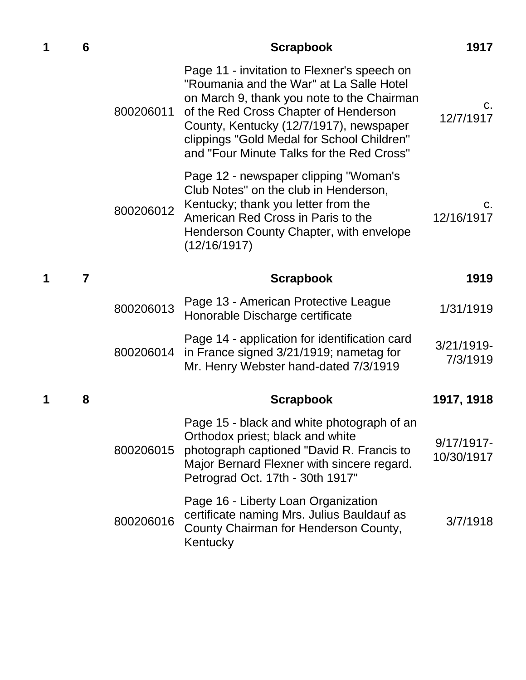| 1 | 6              |           | <b>Scrapbook</b>                                                                                                                                                                                                                                                                                                     | 1917                        |
|---|----------------|-----------|----------------------------------------------------------------------------------------------------------------------------------------------------------------------------------------------------------------------------------------------------------------------------------------------------------------------|-----------------------------|
|   |                | 800206011 | Page 11 - invitation to Flexner's speech on<br>"Roumania and the War" at La Salle Hotel<br>on March 9, thank you note to the Chairman<br>of the Red Cross Chapter of Henderson<br>County, Kentucky (12/7/1917), newspaper<br>clippings "Gold Medal for School Children"<br>and "Four Minute Talks for the Red Cross" | C.<br>12/7/1917             |
|   |                | 800206012 | Page 12 - newspaper clipping "Woman's<br>Club Notes" on the club in Henderson,<br>Kentucky; thank you letter from the<br>American Red Cross in Paris to the<br>Henderson County Chapter, with envelope<br>(12/16/1917)                                                                                               | C.<br>12/16/1917            |
| 1 | $\overline{7}$ |           | <b>Scrapbook</b>                                                                                                                                                                                                                                                                                                     | 1919                        |
|   |                | 800206013 | Page 13 - American Protective League<br>Honorable Discharge certificate                                                                                                                                                                                                                                              | 1/31/1919                   |
|   |                | 800206014 | Page 14 - application for identification card<br>in France signed 3/21/1919; nametag for<br>Mr. Henry Webster hand-dated 7/3/1919                                                                                                                                                                                    | 3/21/1919-<br>7/3/1919      |
| 1 | 8              |           | <b>Scrapbook</b>                                                                                                                                                                                                                                                                                                     | 1917, 1918                  |
|   |                | 800206015 | Page 15 - black and white photograph of an<br>Orthodox priest; black and white<br>photograph captioned "David R. Francis to<br>Major Bernard Flexner with sincere regard.<br>Petrograd Oct. 17th - 30th 1917"                                                                                                        | $9/17/1917$ -<br>10/30/1917 |
|   |                | 800206016 | Page 16 - Liberty Loan Organization<br>certificate naming Mrs. Julius Bauldauf as<br>County Chairman for Henderson County,<br>Kentucky                                                                                                                                                                               | 3/7/1918                    |